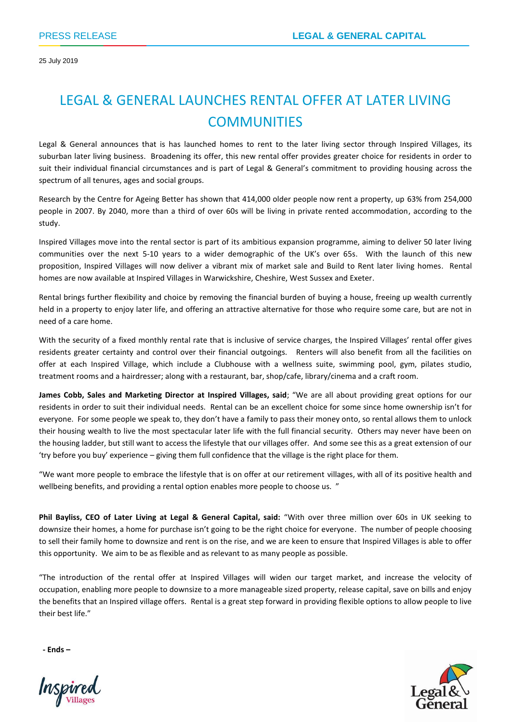25 July 2019

# LEGAL & GENERAL LAUNCHES RENTAL OFFER AT LATER LIVING **COMMUNITIES**

Legal & General announces that is has launched homes to rent to the later living sector through Inspired Villages, its suburban later living business. Broadening its offer, this new rental offer provides greater choice for residents in order to suit their individual financial circumstances and is part of Legal & General's commitment to providing housing across the spectrum of all tenures, ages and social groups.

Research by the Centre for Ageing Better has shown that 414,000 older people now rent a property, up 63% from 254,000 people in 2007. By 2040, more than a third of over 60s will be living in private rented accommodation, according to the study.

Inspired Villages move into the rental sector is part of its ambitious expansion programme, aiming to deliver 50 later living communities over the next 5-10 years to a wider demographic of the UK's over 65s. With the launch of this new proposition, Inspired Villages will now deliver a vibrant mix of market sale and Build to Rent later living homes. Rental homes are now available at Inspired Villages in Warwickshire, Cheshire, West Sussex and Exeter.

Rental brings further flexibility and choice by removing the financial burden of buying a house, freeing up wealth currently held in a property to enjoy later life, and offering an attractive alternative for those who require some care, but are not in need of a care home.

With the security of a fixed monthly rental rate that is inclusive of service charges, the Inspired Villages' rental offer gives residents greater certainty and control over their financial outgoings. Renters will also benefit from all the facilities on offer at each Inspired Village, which include a Clubhouse with a wellness suite, swimming pool, gym, pilates studio, treatment rooms and a hairdresser; along with a restaurant, bar, shop/cafe, library/cinema and a craft room.

**James Cobb, Sales and Marketing Director at Inspired Villages, said**; "We are all about providing great options for our residents in order to suit their individual needs. Rental can be an excellent choice for some since home ownership isn't for everyone. For some people we speak to, they don't have a family to pass their money onto, so rental allows them to unlock their housing wealth to live the most spectacular later life with the full financial security. Others may never have been on the housing ladder, but still want to access the lifestyle that our villages offer. And some see this as a great extension of our 'try before you buy' experience – giving them full confidence that the village is the right place for them.

"We want more people to embrace the lifestyle that is on offer at our retirement villages, with all of its positive health and wellbeing benefits, and providing a rental option enables more people to choose us. "

**Phil Bayliss, CEO of Later Living at Legal & General Capital, said:** "With over three million over 60s in UK seeking to downsize their homes, a home for purchase isn't going to be the right choice for everyone. The number of people choosing to sell their family home to downsize and rent is on the rise, and we are keen to ensure that Inspired Villages is able to offer this opportunity. We aim to be as flexible and as relevant to as many people as possible.

"The introduction of the rental offer at Inspired Villages will widen our target market, and increase the velocity of occupation, enabling more people to downsize to a more manageable sized property, release capital, save on bills and enjoy the benefits that an Inspired village offers. Rental is a great step forward in providing flexible options to allow people to live their best life."

**- Ends –**